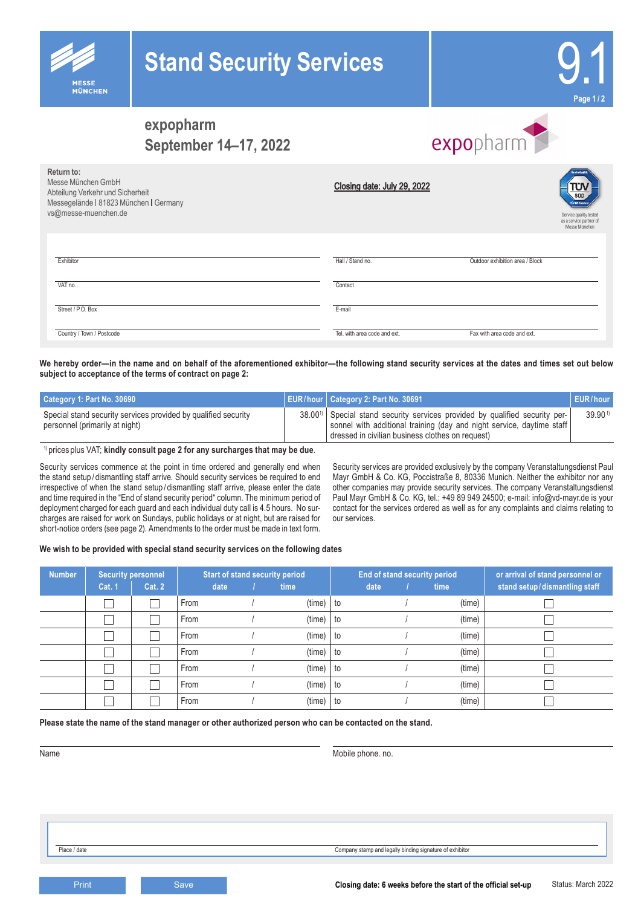



## **expopharm September 14–17, 2022**

**MÜNCHEN** 

# expopharm

| Return to:<br>Messe München GmbH<br>Abteilung Verkehr und Sicherheit<br>Messegelände   81823 München   Germany<br>vs@messe-muenchen.de | Closing date: July 29, 2022  | ServiceOuslit<br><b>TÜV MS Star</b><br>Service quality tested<br>as a service partner of<br>Messe München |
|----------------------------------------------------------------------------------------------------------------------------------------|------------------------------|-----------------------------------------------------------------------------------------------------------|
| Exhibitor                                                                                                                              | Hall / Stand no.             | Outdoor exhibition area / Block                                                                           |
| VAT no.                                                                                                                                | Contact                      |                                                                                                           |
| Street / P.O. Box                                                                                                                      | E-mail                       |                                                                                                           |
| Country / Town / Postcode                                                                                                              | Tel. with area code and ext. | Fax with area code and ext.                                                                               |

We hereby order—in the name and on behalf of the aforementioned exhibitor—the following stand security services at the dates and times set out below **subject to acceptance of the terms of contract on page 2:** 

| Category 1: Part No. 30690                                                                       | EUR/hour   Category 2: Part No. 30691                                                                                                                                                                                    | <b>EUR/hour</b> |
|--------------------------------------------------------------------------------------------------|--------------------------------------------------------------------------------------------------------------------------------------------------------------------------------------------------------------------------|-----------------|
| Special stand security services provided by qualified security<br>personnel (primarily at night) | 38.00 <sup>1</sup> ) Special stand security services provided by qualified security per-<br>sonnel with additional training (day and night service, daytime staff)<br>l dressed in civilian business clothes on request) | $39.90^{1}$     |

1) prices plus VAT; **kindly consult page 2 for any surcharges that may be due**.

Security services commence at the point in time ordered and generally end when the stand setup / dismantling staff arrive. Should security services be required to end irrespective of when the stand setup / dismantling staff arrive, please enter the date and time required in the "End of stand security period" column. The minimum period of deployment charged for each guard and each individual duty call is 4.5 hours. No surcharges are raised for work on Sundays, public holidays or at night, but are raised for short-notice orders (see page 2). Amendments to the order must be made in text form.

Security services are provided exclusively by the company Veranstaltungsdienst Paul Mayr GmbH & Co. KG, Poccistraße 8, 80336 Munich. Neither the exhibitor nor any other companies may provide security services. The company Veranstaltungsdienst Paul Mayr GmbH & Co. KG, tel.: +49 89 949 24500; e-mail: info@vd-mayr.de is your contact for the services ordered as well as for any complaints and claims relating to our services.

**We wish to be provided with special stand security services on the following dates**

| <b>Number</b> | <b>Security personnel</b> |               | <b>Start of stand security period</b> |      |  | <b>End of stand security period</b> |    |      |  | or arrival of stand personnel or |                               |
|---------------|---------------------------|---------------|---------------------------------------|------|--|-------------------------------------|----|------|--|----------------------------------|-------------------------------|
|               | Cat. 1                    | <b>Cat. 2</b> |                                       | date |  | time                                |    | date |  | time                             | stand setup/dismantling staff |
|               |                           |               | From                                  |      |  | (time)                              | to |      |  | (time)                           |                               |
|               |                           |               | From                                  |      |  | (time)                              | to |      |  | (time)                           |                               |
|               |                           |               | From                                  |      |  | (time)                              | to |      |  | (time)                           |                               |
|               |                           |               | From                                  |      |  | (time)                              | to |      |  | (time)                           |                               |
|               |                           |               | From                                  |      |  | (time)                              | to |      |  | (time)                           |                               |
|               |                           |               | From                                  |      |  | (time)                              | to |      |  | (time)                           |                               |
|               |                           |               | From                                  |      |  | (time)                              | to |      |  | (time)                           |                               |

**Please state the name of the stand manager or other authorized person who can be contacted on the stand.**

Name Mobile phone. no. with the Mobile phone. no. with the Mobile phone. no. with Mobile phone. no.

Place / date Company stamp and legally binding signature of exhibitor